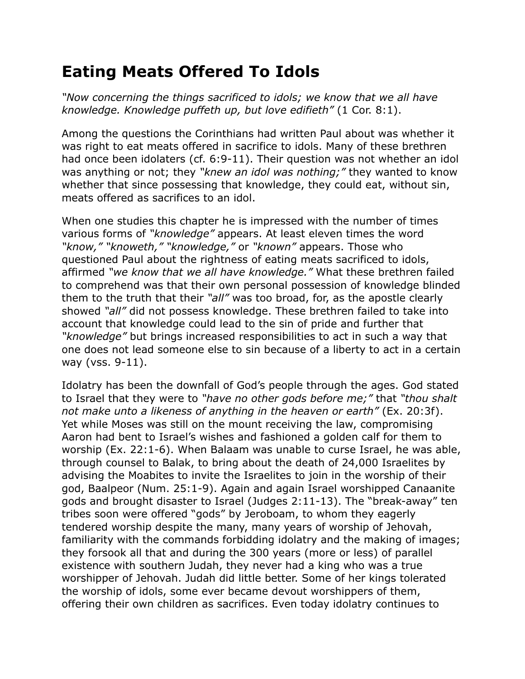## **Eating Meats Offered To Idols**

*"Now concerning the things sacrificed to idols; we know that we all have knowledge. Knowledge puffeth up, but love edifieth"* (1 Cor. 8:1).

Among the questions the Corinthians had written Paul about was whether it was right to eat meats offered in sacrifice to idols. Many of these brethren had once been idolaters (cf. 6:9-11). Their question was not whether an idol was anything or not; they *"knew an idol was nothing;"* they wanted to know whether that since possessing that knowledge, they could eat, without sin, meats offered as sacrifices to an idol.

When one studies this chapter he is impressed with the number of times various forms of *"knowledge"* appears. At least eleven times the word *"know," "knoweth," "knowledge,"* or *"known"* appears. Those who questioned Paul about the rightness of eating meats sacrificed to idols, affirmed *"we know that we all have knowledge."* What these brethren failed to comprehend was that their own personal possession of knowledge blinded them to the truth that their *"all"* was too broad, for, as the apostle clearly showed *"all"* did not possess knowledge. These brethren failed to take into account that knowledge could lead to the sin of pride and further that *"knowledge"* but brings increased responsibilities to act in such a way that one does not lead someone else to sin because of a liberty to act in a certain way (vss. 9-11).

Idolatry has been the downfall of God's people through the ages. God stated to Israel that they were to *"have no other gods before me;"* that *"thou shalt not make unto a likeness of anything in the heaven or earth"* (Ex. 20:3f). Yet while Moses was still on the mount receiving the law, compromising Aaron had bent to Israel's wishes and fashioned a golden calf for them to worship (Ex. 22:1-6). When Balaam was unable to curse Israel, he was able, through counsel to Balak, to bring about the death of 24,000 Israelites by advising the Moabites to invite the Israelites to join in the worship of their god, Baalpeor (Num. 25:1-9). Again and again Israel worshipped Canaanite gods and brought disaster to Israel (Judges 2:11-13). The "break-away" ten tribes soon were offered "gods" by Jeroboam, to whom they eagerly tendered worship despite the many, many years of worship of Jehovah, familiarity with the commands forbidding idolatry and the making of images; they forsook all that and during the 300 years (more or less) of parallel existence with southern Judah, they never had a king who was a true worshipper of Jehovah. Judah did little better. Some of her kings tolerated the worship of idols, some ever became devout worshippers of them, offering their own children as sacrifices. Even today idolatry continues to